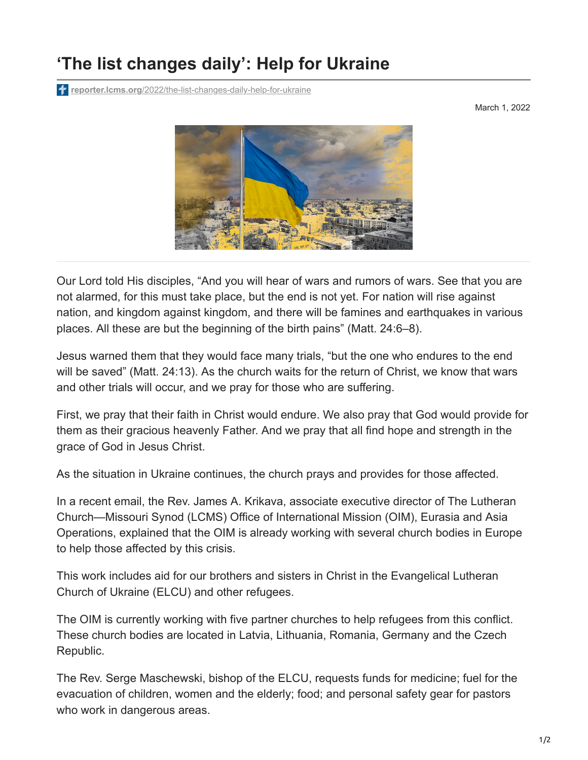## **'The list changes daily': Help for Ukraine**

**reporter.lcms.org**[/2022/the-list-changes-daily-help-for-ukraine](https://reporter.lcms.org/2022/the-list-changes-daily-help-for-ukraine/)

March 1, 2022



Our Lord told His disciples, "And you will hear of wars and rumors of wars. See that you are not alarmed, for this must take place, but the end is not yet. For nation will rise against nation, and kingdom against kingdom, and there will be famines and earthquakes in various places. All these are but the beginning of the birth pains" (Matt. 24:6–8).

Jesus warned them that they would face many trials, "but the one who endures to the end will be saved" (Matt. 24:13). As the church waits for the return of Christ, we know that wars and other trials will occur, and we pray for those who are suffering.

First, we pray that their faith in Christ would endure. We also pray that God would provide for them as their gracious heavenly Father. And we pray that all find hope and strength in the grace of God in Jesus Christ.

As the situation in Ukraine continues, the church prays and provides for those affected.

In a recent email, the Rev. James A. Krikava, associate executive director of The Lutheran Church—Missouri Synod (LCMS) Office of International Mission (OIM), Eurasia and Asia Operations, explained that the OIM is already working with several church bodies in Europe to help those affected by this crisis.

This work includes aid for our brothers and sisters in Christ in the Evangelical Lutheran Church of Ukraine (ELCU) and other refugees.

The OIM is currently working with five partner churches to help refugees from this conflict. These church bodies are located in Latvia, Lithuania, Romania, Germany and the Czech Republic.

The Rev. Serge Maschewski, bishop of the ELCU, requests funds for medicine; fuel for the evacuation of children, women and the elderly; food; and personal safety gear for pastors who work in dangerous areas.